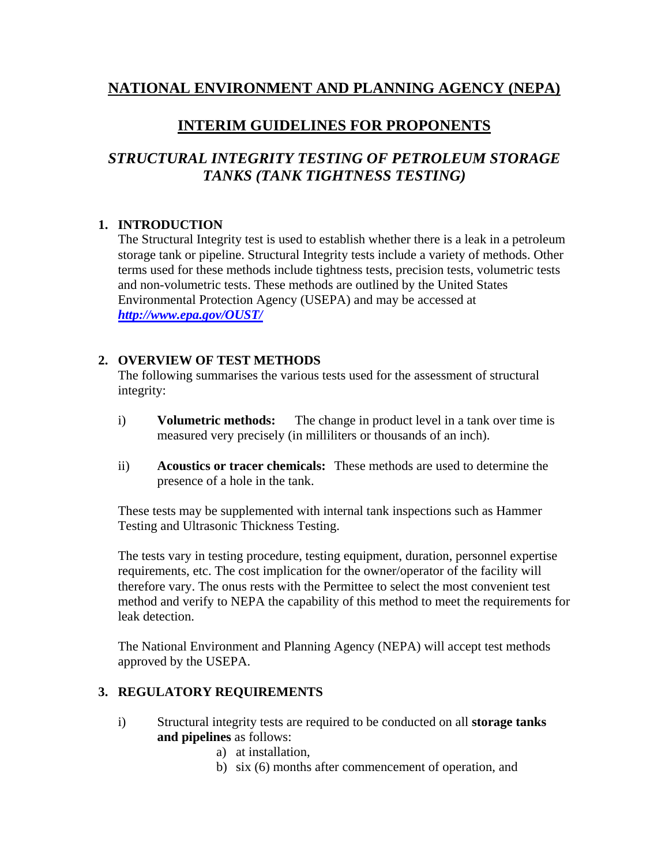## **NATIONAL ENVIRONMENT AND PLANNING AGENCY (NEPA)**

## **INTERIM GUIDELINES FOR PROPONENTS**

# *STRUCTURAL INTEGRITY TESTING OF PETROLEUM STORAGE TANKS (TANK TIGHTNESS TESTING)*

### **1. INTRODUCTION**

The Structural Integrity test is used to establish whether there is a leak in a petroleum storage tank or pipeline. Structural Integrity tests include a variety of methods. Other terms used for these methods include tightness tests, precision tests, volumetric tests and non-volumetric tests. These methods are outlined by the United States Environmental Protection Agency (USEPA) and may be accessed at *http://www.epa.gov/OUST/*

#### **2. OVERVIEW OF TEST METHODS**

The following summarises the various tests used for the assessment of structural integrity:

- i) **Volumetric methods:** The change in product level in a tank over time is measured very precisely (in milliliters or thousands of an inch).
- ii) **Acoustics or tracer chemicals:** These methods are used to determine the presence of a hole in the tank.

These tests may be supplemented with internal tank inspections such as Hammer Testing and Ultrasonic Thickness Testing.

The tests vary in testing procedure, testing equipment, duration, personnel expertise requirements, etc. The cost implication for the owner/operator of the facility will therefore vary. The onus rests with the Permittee to select the most convenient test method and verify to NEPA the capability of this method to meet the requirements for leak detection.

The National Environment and Planning Agency (NEPA) will accept test methods approved by the USEPA.

#### **3. REGULATORY REQUIREMENTS**

- i) Structural integrity tests are required to be conducted on all **storage tanks and pipelines** as follows:
	- a) at installation,
	- b) six (6) months after commencement of operation, and